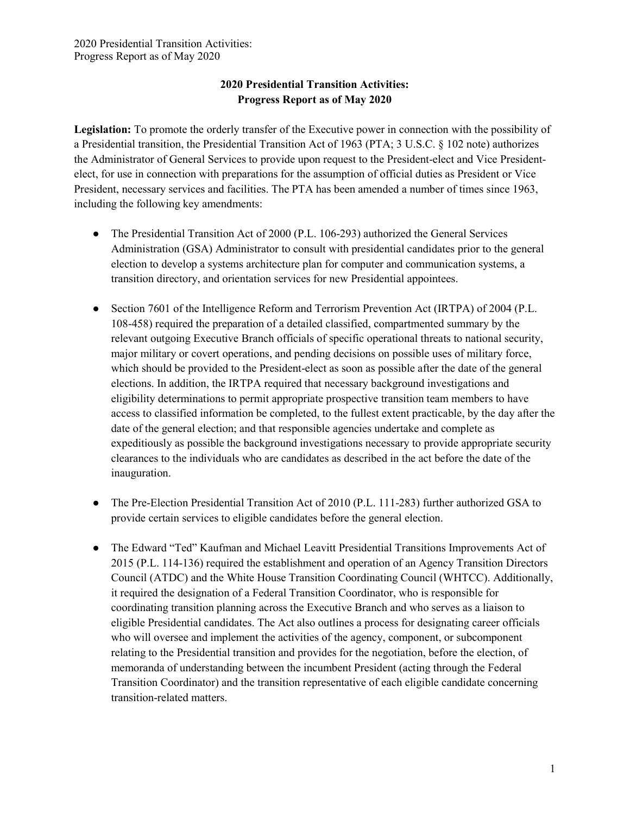Legislation: To promote the orderly transfer of the Executive power in connection with the possibility of a Presidential transition, the Presidential Transition Act of 1963 (PTA; 3 U.S.C. § 102 note) authorizes the Administrator of General Services to provide upon request to the President-elect and Vice Presidentelect, for use in connection with preparations for the assumption of official duties as President or Vice President, necessary services and facilities. The PTA has been amended a number of times since 1963, including the following key amendments:

- The Presidential Transition Act of 2000 (P.L. 106-293) authorized the General Services Administration (GSA) Administrator to consult with presidential candidates prior to the general election to develop a systems architecture plan for computer and communication systems, a transition directory, and orientation services for new Presidential appointees.
- Section 7601 of the Intelligence Reform and Terrorism Prevention Act (IRTPA) of 2004 (P.L. 108-458) required the preparation of a detailed classified, compartmented summary by the relevant outgoing Executive Branch officials of specific operational threats to national security, major military or covert operations, and pending decisions on possible uses of military force, which should be provided to the President-elect as soon as possible after the date of the general elections. In addition, the IRTPA required that necessary background investigations and eligibility determinations to permit appropriate prospective transition team members to have access to classified information be completed, to the fullest extent practicable, by the day after the date of the general election; and that responsible agencies undertake and complete as expeditiously as possible the background investigations necessary to provide appropriate security clearances to the individuals who are candidates as described in the act before the date of the inauguration.
- The Pre-Election Presidential Transition Act of 2010 (P.L. 111-283) further authorized GSA to provide certain services to eligible candidates before the general election.
- The Edward "Ted" Kaufman and Michael Leavitt Presidential Transitions Improvements Act of 2015 (P.L. 114-136) required the establishment and operation of an Agency Transition Directors Council (ATDC) and the White House Transition Coordinating Council (WHTCC). Additionally, it required the designation of a Federal Transition Coordinator, who is responsible for coordinating transition planning across the Executive Branch and who serves as a liaison to eligible Presidential candidates. The Act also outlines a process for designating career officials who will oversee and implement the activities of the agency, component, or subcomponent relating to the Presidential transition and provides for the negotiation, before the election, of memoranda of understanding between the incumbent President (acting through the Federal Transition Coordinator) and the transition representative of each eligible candidate concerning transition-related matters.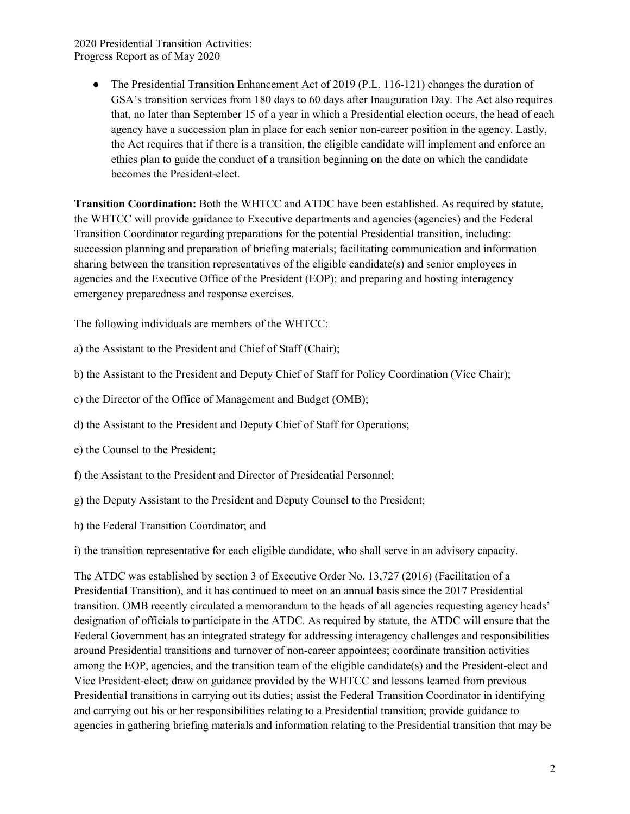> ● The Presidential Transition Enhancement Act of 2019 (P.L. 116-121) changes the duration of GSA's transition services from 180 days to 60 days after Inauguration Day. The Act also requires that, no later than September 15 of a year in which a Presidential election occurs, the head of each agency have a succession plan in place for each senior non-career position in the agency. Lastly, the Act requires that if there is a transition, the eligible candidate will implement and enforce an ethics plan to guide the conduct of a transition beginning on the date on which the candidate becomes the President-elect.

Transition Coordination: Both the WHTCC and ATDC have been established. As required by statute, the WHTCC will provide guidance to Executive departments and agencies (agencies) and the Federal Transition Coordinator regarding preparations for the potential Presidential transition, including: succession planning and preparation of briefing materials; facilitating communication and information sharing between the transition representatives of the eligible candidate(s) and senior employees in agencies and the Executive Office of the President (EOP); and preparing and hosting interagency emergency preparedness and response exercises.

The following individuals are members of the WHTCC:

- a) the Assistant to the President and Chief of Staff (Chair);
- b) the Assistant to the President and Deputy Chief of Staff for Policy Coordination (Vice Chair);
- c) the Director of the Office of Management and Budget (OMB);
- d) the Assistant to the President and Deputy Chief of Staff for Operations;
- e) the Counsel to the President;
- f) the Assistant to the President and Director of Presidential Personnel;
- g) the Deputy Assistant to the President and Deputy Counsel to the President;
- h) the Federal Transition Coordinator; and

i) the transition representative for each eligible candidate, who shall serve in an advisory capacity.

The ATDC was established by section 3 of Executive Order No. 13,727 (2016) (Facilitation of a Presidential Transition), and it has continued to meet on an annual basis since the 2017 Presidential transition. OMB recently circulated a memorandum to the heads of all agencies requesting agency heads' designation of officials to participate in the ATDC. As required by statute, the ATDC will ensure that the Federal Government has an integrated strategy for addressing interagency challenges and responsibilities around Presidential transitions and turnover of non-career appointees; coordinate transition activities among the EOP, agencies, and the transition team of the eligible candidate(s) and the President-elect and Vice President-elect; draw on guidance provided by the WHTCC and lessons learned from previous Presidential transitions in carrying out its duties; assist the Federal Transition Coordinator in identifying and carrying out his or her responsibilities relating to a Presidential transition; provide guidance to agencies in gathering briefing materials and information relating to the Presidential transition that may be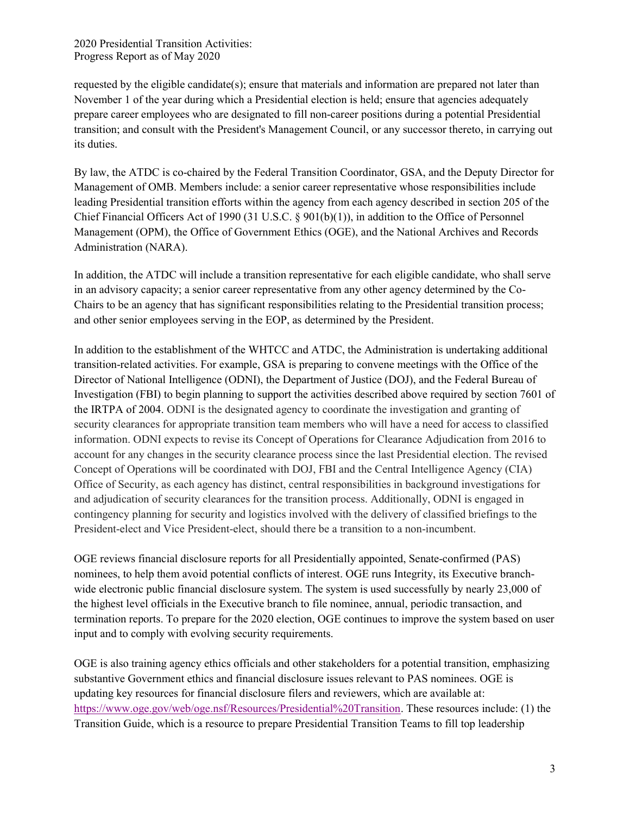requested by the eligible candidate(s); ensure that materials and information are prepared not later than November 1 of the year during which a Presidential election is held; ensure that agencies adequately prepare career employees who are designated to fill non-career positions during a potential Presidential transition; and consult with the President's Management Council, or any successor thereto, in carrying out its duties.

By law, the ATDC is co-chaired by the Federal Transition Coordinator, GSA, and the Deputy Director for Management of OMB. Members include: a senior career representative whose responsibilities include leading Presidential transition efforts within the agency from each agency described in section 205 of the Chief Financial Officers Act of 1990 (31 U.S.C. § 901(b)(1)), in addition to the Office of Personnel Management (OPM), the Office of Government Ethics (OGE), and the National Archives and Records Administration (NARA).

In addition, the ATDC will include a transition representative for each eligible candidate, who shall serve in an advisory capacity; a senior career representative from any other agency determined by the Co-Chairs to be an agency that has significant responsibilities relating to the Presidential transition process; and other senior employees serving in the EOP, as determined by the President.

In addition to the establishment of the WHTCC and ATDC, the Administration is undertaking additional transition-related activities. For example, GSA is preparing to convene meetings with the Office of the Director of National Intelligence (ODNI), the Department of Justice (DOJ), and the Federal Bureau of Investigation (FBI) to begin planning to support the activities described above required by section 7601 of the IRTPA of 2004. ODNI is the designated agency to coordinate the investigation and granting of security clearances for appropriate transition team members who will have a need for access to classified information. ODNI expects to revise its Concept of Operations for Clearance Adjudication from 2016 to account for any changes in the security clearance process since the last Presidential election. The revised Concept of Operations will be coordinated with DOJ, FBI and the Central Intelligence Agency (CIA) Office of Security, as each agency has distinct, central responsibilities in background investigations for and adjudication of security clearances for the transition process. Additionally, ODNI is engaged in contingency planning for security and logistics involved with the delivery of classified briefings to the President-elect and Vice President-elect, should there be a transition to a non-incumbent.

OGE reviews financial disclosure reports for all Presidentially appointed, Senate-confirmed (PAS) nominees, to help them avoid potential conflicts of interest. OGE runs Integrity, its Executive branchwide electronic public financial disclosure system. The system is used successfully by nearly 23,000 of the highest level officials in the Executive branch to file nominee, annual, periodic transaction, and termination reports. To prepare for the 2020 election, OGE continues to improve the system based on user input and to comply with evolving security requirements.

OGE is also training agency ethics officials and other stakeholders for a potential transition, emphasizing substantive Government ethics and financial disclosure issues relevant to PAS nominees. OGE is updating key resources for financial disclosure filers and reviewers, which are available at: https://www.oge.gov/web/oge.nsf/Resources/Presidential%20Transition. These resources include: (1) the Transition Guide, which is a resource to prepare Presidential Transition Teams to fill top leadership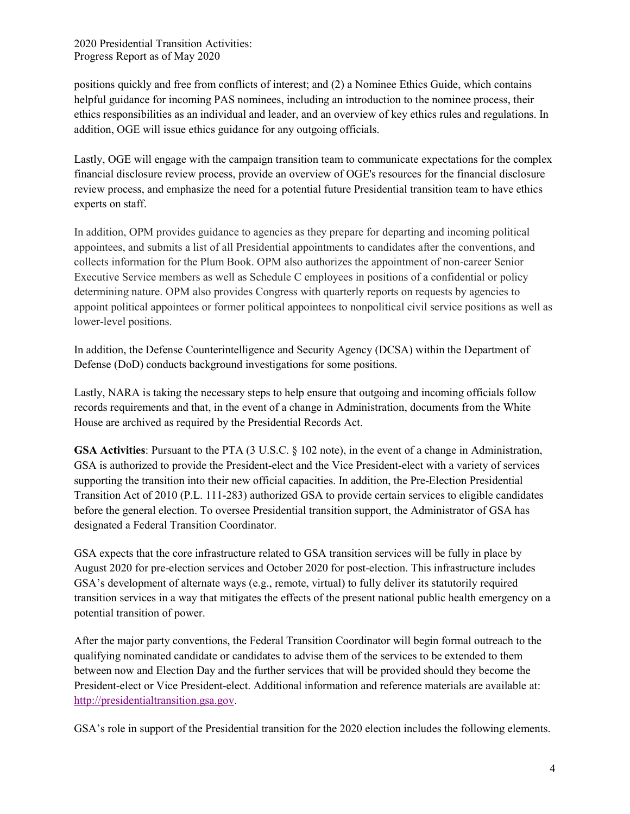positions quickly and free from conflicts of interest; and (2) a Nominee Ethics Guide, which contains helpful guidance for incoming PAS nominees, including an introduction to the nominee process, their ethics responsibilities as an individual and leader, and an overview of key ethics rules and regulations. In addition, OGE will issue ethics guidance for any outgoing officials.

Lastly, OGE will engage with the campaign transition team to communicate expectations for the complex financial disclosure review process, provide an overview of OGE's resources for the financial disclosure review process, and emphasize the need for a potential future Presidential transition team to have ethics experts on staff.

In addition, OPM provides guidance to agencies as they prepare for departing and incoming political appointees, and submits a list of all Presidential appointments to candidates after the conventions, and collects information for the Plum Book. OPM also authorizes the appointment of non-career Senior Executive Service members as well as Schedule C employees in positions of a confidential or policy determining nature. OPM also provides Congress with quarterly reports on requests by agencies to appoint political appointees or former political appointees to nonpolitical civil service positions as well as lower-level positions.

In addition, the Defense Counterintelligence and Security Agency (DCSA) within the Department of Defense (DoD) conducts background investigations for some positions.

Lastly, NARA is taking the necessary steps to help ensure that outgoing and incoming officials follow records requirements and that, in the event of a change in Administration, documents from the White House are archived as required by the Presidential Records Act.

GSA Activities: Pursuant to the PTA (3 U.S.C. § 102 note), in the event of a change in Administration, GSA is authorized to provide the President-elect and the Vice President-elect with a variety of services supporting the transition into their new official capacities. In addition, the Pre-Election Presidential Transition Act of 2010 (P.L. 111-283) authorized GSA to provide certain services to eligible candidates before the general election. To oversee Presidential transition support, the Administrator of GSA has designated a Federal Transition Coordinator.

GSA expects that the core infrastructure related to GSA transition services will be fully in place by August 2020 for pre-election services and October 2020 for post-election. This infrastructure includes GSA's development of alternate ways (e.g., remote, virtual) to fully deliver its statutorily required transition services in a way that mitigates the effects of the present national public health emergency on a potential transition of power.

After the major party conventions, the Federal Transition Coordinator will begin formal outreach to the qualifying nominated candidate or candidates to advise them of the services to be extended to them between now and Election Day and the further services that will be provided should they become the President-elect or Vice President-elect. Additional information and reference materials are available at: http://presidentialtransition.gsa.gov.

GSA's role in support of the Presidential transition for the 2020 election includes the following elements.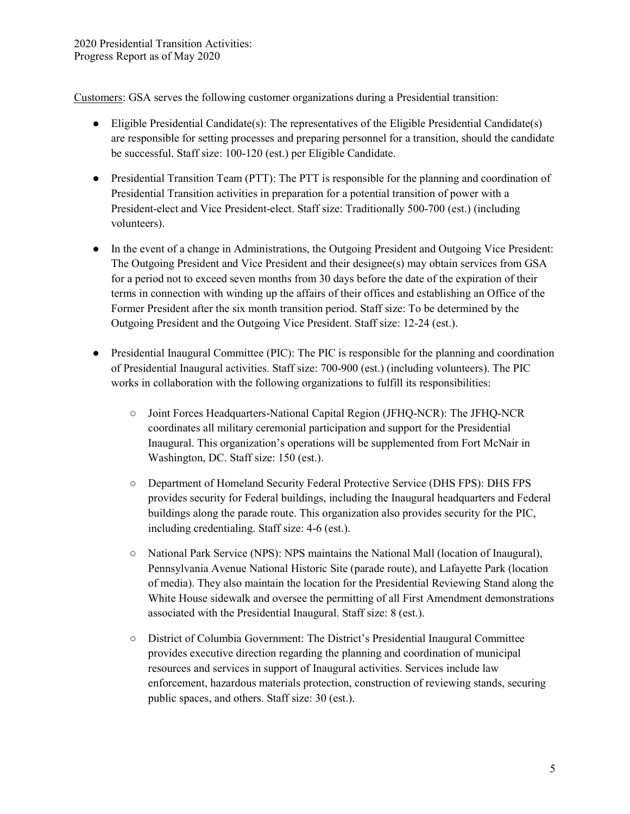Customers: GSA serves the following customer organizations during a Presidential transition:

- Eligible Presidential Candidate(s): The representatives of the Eligible Presidential Candidate(s) are responsible for setting processes and preparing personnel for a transition, should the candidate be successful. Staff size: 100-120 (est.) per Eligible Candidate.
- Presidential Transition Team (PTT): The PTT is responsible for the planning and coordination of Presidential Transition activities in preparation for a potential transition of power with a President-elect and Vice President-elect. Staff size: Traditionally 500-700 (est.) (including volunteers).
- In the event of a change in Administrations, the Outgoing President and Outgoing Vice President: The Outgoing President and Vice President and their designee(s) may obtain services from GSA for a period not to exceed seven months from 30 days before the date of the expiration of their terms in connection with winding up the affairs of their offices and establishing an Office of the Former President after the six month transition period. Staff size: To be determined by the Outgoing President and the Outgoing Vice President. Staff size: 12-24 (est.).
- Presidential Inaugural Committee (PIC): The PIC is responsible for the planning and coordination of Presidential Inaugural activities. Staff size: 700-900 (est.) (including volunteers). The PIC works in collaboration with the following organizations to fulfill its responsibilities:
	- Joint Forces Headquarters-National Capital Region (JFHQ-NCR): The JFHQ-NCR coordinates all military ceremonial participation and support for the Presidential Inaugural. This organization's operations will be supplemented from Fort McNair in Washington, DC. Staff size: 150 (est.).
	- Department of Homeland Security Federal Protective Service (DHS FPS): DHS FPS provides security for Federal buildings, including the Inaugural headquarters and Federal buildings along the parade route. This organization also provides security for the PIC, including credentialing. Staff size: 4-6 (est.).
	- National Park Service (NPS): NPS maintains the National Mall (location of Inaugural), Pennsylvania Avenue National Historic Site (parade route), and Lafayette Park (location of media). They also maintain the location for the Presidential Reviewing Stand along the White House sidewalk and oversee the permitting of all First Amendment demonstrations associated with the Presidential Inaugural. Staff size: 8 (est.).
	- District of Columbia Government: The District's Presidential Inaugural Committee provides executive direction regarding the planning and coordination of municipal resources and services in support of Inaugural activities. Services include law enforcement, hazardous materials protection, construction of reviewing stands, securing public spaces, and others. Staff size: 30 (est.).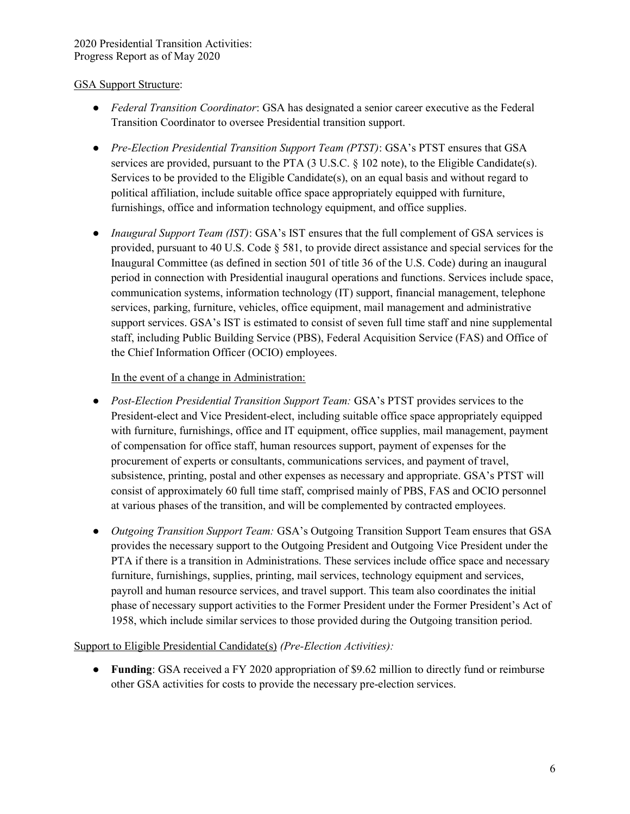## GSA Support Structure:

- Federal Transition Coordinator: GSA has designated a senior career executive as the Federal Transition Coordinator to oversee Presidential transition support.
- Pre-Election Presidential Transition Support Team (PTST): GSA's PTST ensures that GSA services are provided, pursuant to the PTA (3 U.S.C. § 102 note), to the Eligible Candidate(s). Services to be provided to the Eligible Candidate(s), on an equal basis and without regard to political affiliation, include suitable office space appropriately equipped with furniture, furnishings, office and information technology equipment, and office supplies.
- Inaugural Support Team (IST): GSA's IST ensures that the full complement of GSA services is provided, pursuant to 40 U.S. Code § 581, to provide direct assistance and special services for the Inaugural Committee (as defined in section 501 of title 36 of the U.S. Code) during an inaugural period in connection with Presidential inaugural operations and functions. Services include space, communication systems, information technology (IT) support, financial management, telephone services, parking, furniture, vehicles, office equipment, mail management and administrative support services. GSA's IST is estimated to consist of seven full time staff and nine supplemental staff, including Public Building Service (PBS), Federal Acquisition Service (FAS) and Office of the Chief Information Officer (OCIO) employees.

## In the event of a change in Administration:

- Post-Election Presidential Transition Support Team: GSA's PTST provides services to the President-elect and Vice President-elect, including suitable office space appropriately equipped with furniture, furnishings, office and IT equipment, office supplies, mail management, payment of compensation for office staff, human resources support, payment of expenses for the procurement of experts or consultants, communications services, and payment of travel, subsistence, printing, postal and other expenses as necessary and appropriate. GSA's PTST will consist of approximately 60 full time staff, comprised mainly of PBS, FAS and OCIO personnel at various phases of the transition, and will be complemented by contracted employees.
- Outgoing Transition Support Team: GSA's Outgoing Transition Support Team ensures that GSA provides the necessary support to the Outgoing President and Outgoing Vice President under the PTA if there is a transition in Administrations. These services include office space and necessary furniture, furnishings, supplies, printing, mail services, technology equipment and services, payroll and human resource services, and travel support. This team also coordinates the initial phase of necessary support activities to the Former President under the Former President's Act of 1958, which include similar services to those provided during the Outgoing transition period.

#### Support to Eligible Presidential Candidate(s) (Pre-Election Activities):

• Funding: GSA received a FY 2020 appropriation of \$9.62 million to directly fund or reimburse other GSA activities for costs to provide the necessary pre-election services.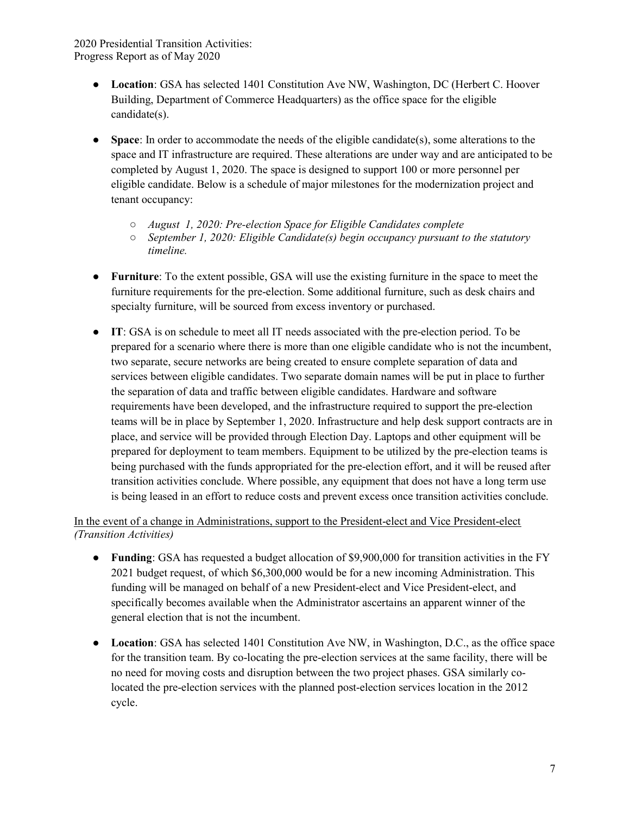- Location: GSA has selected 1401 Constitution Ave NW, Washington, DC (Herbert C. Hoover Building, Department of Commerce Headquarters) as the office space for the eligible candidate(s).
- Space: In order to accommodate the needs of the eligible candidate(s), some alterations to the space and IT infrastructure are required. These alterations are under way and are anticipated to be completed by August 1, 2020. The space is designed to support 100 or more personnel per eligible candidate. Below is a schedule of major milestones for the modernization project and tenant occupancy:
	- August 1, 2020: Pre-election Space for Eligible Candidates complete
	- September 1, 2020: Eligible Candidate(s) begin occupancy pursuant to the statutory timeline.
- Furniture: To the extent possible, GSA will use the existing furniture in the space to meet the furniture requirements for the pre-election. Some additional furniture, such as desk chairs and specialty furniture, will be sourced from excess inventory or purchased.
- IT: GSA is on schedule to meet all IT needs associated with the pre-election period. To be prepared for a scenario where there is more than one eligible candidate who is not the incumbent, two separate, secure networks are being created to ensure complete separation of data and services between eligible candidates. Two separate domain names will be put in place to further the separation of data and traffic between eligible candidates. Hardware and software requirements have been developed, and the infrastructure required to support the pre-election teams will be in place by September 1, 2020. Infrastructure and help desk support contracts are in place, and service will be provided through Election Day. Laptops and other equipment will be prepared for deployment to team members. Equipment to be utilized by the pre-election teams is being purchased with the funds appropriated for the pre-election effort, and it will be reused after transition activities conclude. Where possible, any equipment that does not have a long term use is being leased in an effort to reduce costs and prevent excess once transition activities conclude.

## In the event of a change in Administrations, support to the President-elect and Vice President-elect (Transition Activities)

- Funding: GSA has requested a budget allocation of \$9,900,000 for transition activities in the FY 2021 budget request, of which \$6,300,000 would be for a new incoming Administration. This funding will be managed on behalf of a new President-elect and Vice President-elect, and specifically becomes available when the Administrator ascertains an apparent winner of the general election that is not the incumbent.
- Location: GSA has selected 1401 Constitution Ave NW, in Washington, D.C., as the office space for the transition team. By co-locating the pre-election services at the same facility, there will be no need for moving costs and disruption between the two project phases. GSA similarly colocated the pre-election services with the planned post-election services location in the 2012 cycle.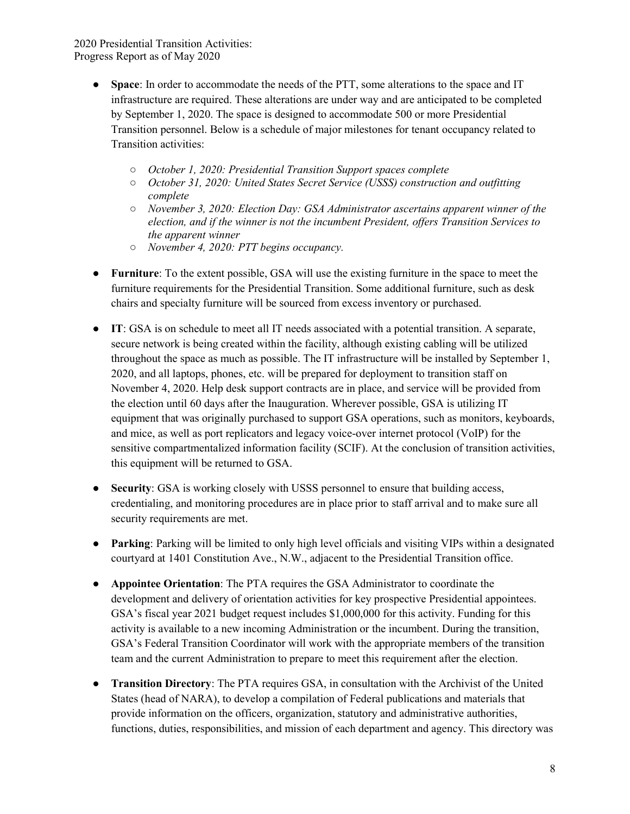- Space: In order to accommodate the needs of the PTT, some alterations to the space and IT infrastructure are required. These alterations are under way and are anticipated to be completed by September 1, 2020. The space is designed to accommodate 500 or more Presidential Transition personnel. Below is a schedule of major milestones for tenant occupancy related to Transition activities:
	- October 1, 2020: Presidential Transition Support spaces complete
	- October 31, 2020: United States Secret Service (USSS) construction and outfitting complete
	- $\circ$  November 3, 2020: Election Day: GSA Administrator ascertains apparent winner of the election, and if the winner is not the incumbent President, offers Transition Services to the apparent winner
	- November 4, 2020: PTT begins occupancy.
- Furniture: To the extent possible, GSA will use the existing furniture in the space to meet the furniture requirements for the Presidential Transition. Some additional furniture, such as desk chairs and specialty furniture will be sourced from excess inventory or purchased.
- IT: GSA is on schedule to meet all IT needs associated with a potential transition. A separate, secure network is being created within the facility, although existing cabling will be utilized throughout the space as much as possible. The IT infrastructure will be installed by September 1, 2020, and all laptops, phones, etc. will be prepared for deployment to transition staff on November 4, 2020. Help desk support contracts are in place, and service will be provided from the election until 60 days after the Inauguration. Wherever possible, GSA is utilizing IT equipment that was originally purchased to support GSA operations, such as monitors, keyboards, and mice, as well as port replicators and legacy voice-over internet protocol (VoIP) for the sensitive compartmentalized information facility (SCIF). At the conclusion of transition activities, this equipment will be returned to GSA.
- Security: GSA is working closely with USSS personnel to ensure that building access, credentialing, and monitoring procedures are in place prior to staff arrival and to make sure all security requirements are met.
- Parking: Parking will be limited to only high level officials and visiting VIPs within a designated courtyard at 1401 Constitution Ave., N.W., adjacent to the Presidential Transition office.
- Appointee Orientation: The PTA requires the GSA Administrator to coordinate the development and delivery of orientation activities for key prospective Presidential appointees. GSA's fiscal year 2021 budget request includes \$1,000,000 for this activity. Funding for this activity is available to a new incoming Administration or the incumbent. During the transition, GSA's Federal Transition Coordinator will work with the appropriate members of the transition team and the current Administration to prepare to meet this requirement after the election.
- Transition Directory: The PTA requires GSA, in consultation with the Archivist of the United States (head of NARA), to develop a compilation of Federal publications and materials that provide information on the officers, organization, statutory and administrative authorities, functions, duties, responsibilities, and mission of each department and agency. This directory was